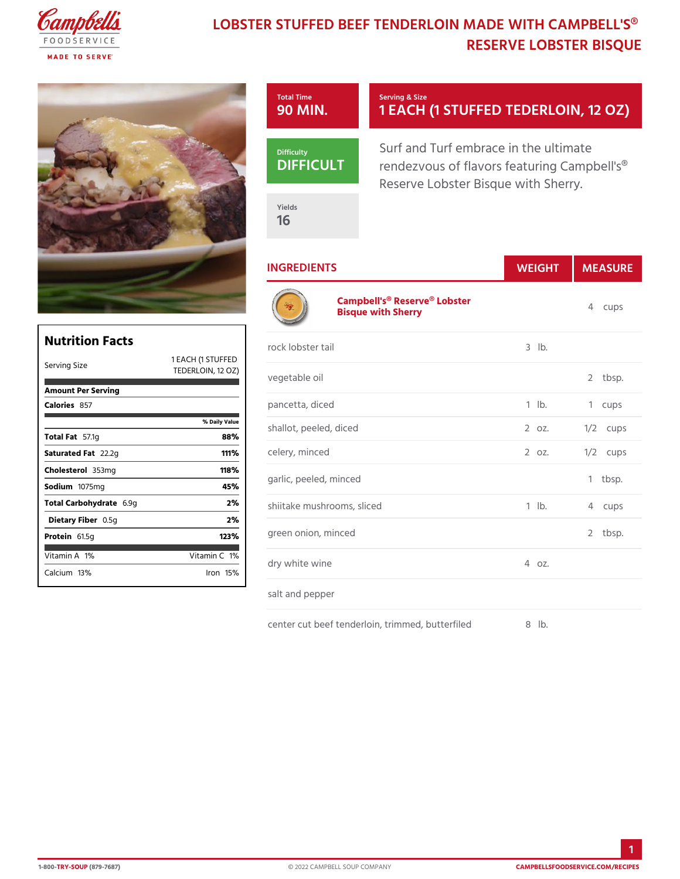## LOBSTER STUFFED BEEF TENDERLOIN MAD RESERVE LOBSTER

|                                      | Total Time<br>90 MIN    | Serving & Size<br>1 EACH (1 STUFFED TED                                                              |            |            |
|--------------------------------------|-------------------------|------------------------------------------------------------------------------------------------------|------------|------------|
|                                      | Difficulty<br>DIFFICU   | Surf and Turf embrace in the ul<br>rendezvous of flavors featuring<br>Reserve Lobster Bisque with Sh |            |            |
|                                      | Yields<br>16            |                                                                                                      |            |            |
|                                      | <b>INGREDIENTS</b>      |                                                                                                      | WEIGH      | MEASU      |
|                                      |                         | Campbell's <sup>®</sup> Reserve <sup>®</sup> Lobster<br>Bisque with Sherry                           |            | 4 cups     |
| t s<br>1 EACH (1 STUFFED             | rock lobster tail       |                                                                                                      | $3$ $1b$ . |            |
| <b>TEDERLOIN</b>                     | 12 OZ)<br>vegetable oil |                                                                                                      |            | 2 tbsp.    |
|                                      | pancetta, diced         |                                                                                                      | $1$ $1b$ . | 1 cups     |
| % Daily Value<br>88%                 | shallot, peeled, diced  |                                                                                                      | 2 oz.      | $1/2$ cups |
| 1 1 1 $\%$                           | celery, minced          |                                                                                                      | 2 0 Z.     | $1/2$ cups |
| 118%<br>45%                          | garlic, peeled, minced  |                                                                                                      |            | $1$ tbsp.  |
| 2%                                   |                         | shiitake mushrooms, sliced                                                                           | $1$ $1b$ . | 4 cups     |
| 2%<br>123%                           | green onion, minced     |                                                                                                      |            | 2 tbsp.    |
| Vitamin1 <b>%</b><br>$l$ ron 15 $\%$ | dry white wine          |                                                                                                      | $4.0Z$ .   |            |
|                                      | salt and pepper         |                                                                                                      |            |            |

center cut beef tenderloin, trimmed, 8b ubterfiled

Nutrition Facts Serving Size  $\begin{array}{ccc} 1 & E \\ \text{True} \end{array}$ 

Amount Per Serving

Total Carbohy 6d. r 9age Dietary Füb 5eg  $Prote$ i $61.5g$  $V$ itamin 1 $A$ Calcium 3%

Calorie857

Total  $F\$   $7.1g$ Saturated  $2\sqrt{2}a$  2g Choleste 863mg Sodium 075mg